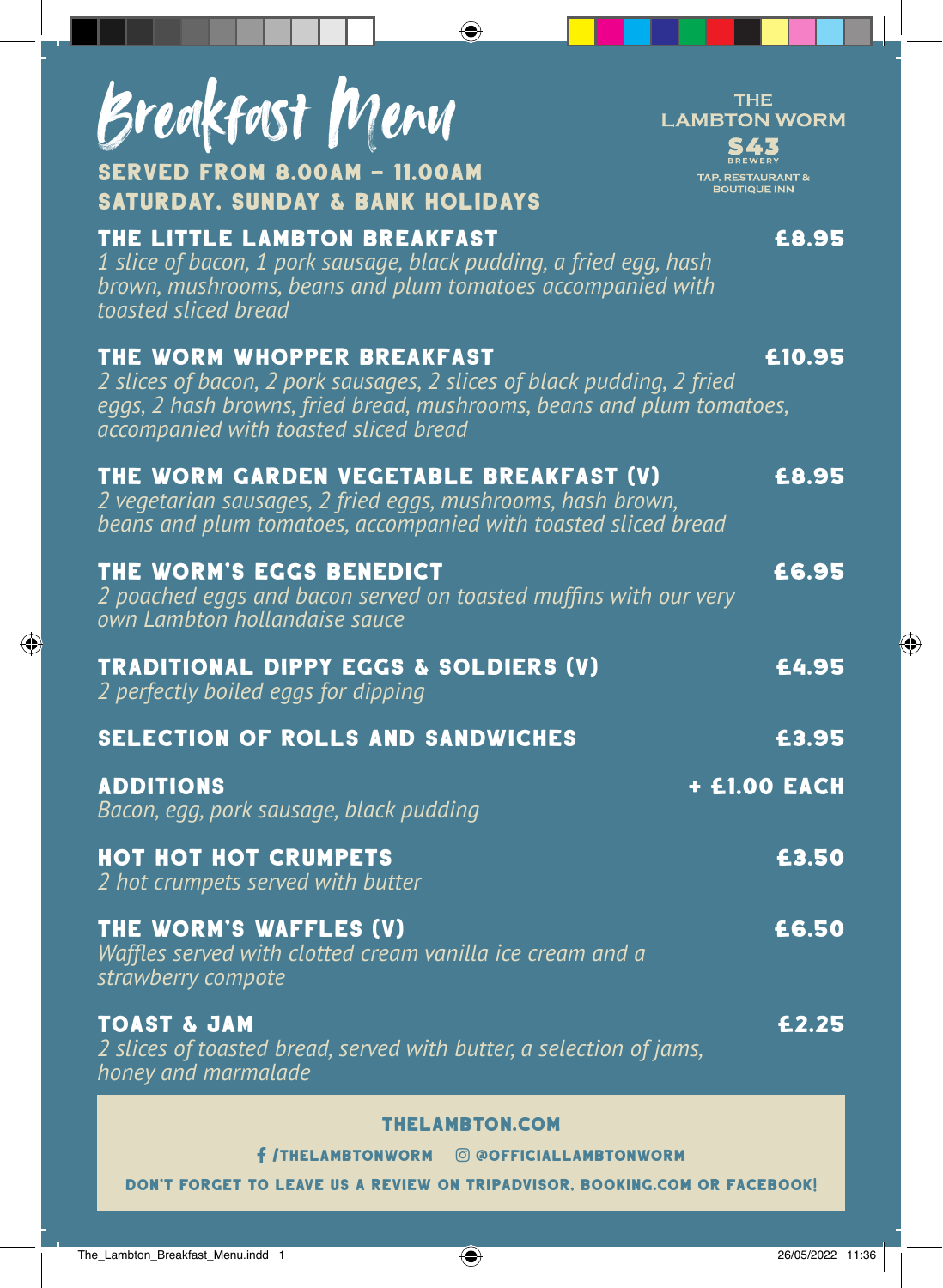| Breakfast Menu<br><b>SERVED FROM 8.00AM - 11.00AM</b><br><b>SATURDAY, SUNDAY &amp; BANK HOLIDAYS</b>                                                                                                                   | <b>THE</b><br><b>LAMBTON WORM</b><br>543<br><b>TAP, RESTAURANT &amp;</b><br><b>BOUTIQUE INN</b> |
|------------------------------------------------------------------------------------------------------------------------------------------------------------------------------------------------------------------------|-------------------------------------------------------------------------------------------------|
| THE LITTLE LAMBTON BREAKFAST<br>1 slice of bacon, 1 pork sausage, black pudding, a fried egg, hash<br>brown, mushrooms, beans and plum tomatoes accompanied with<br>toasted sliced bread                               | £8.95                                                                                           |
| THE WORM WHOPPER BREAKFAST<br>2 slices of bacon, 2 pork sausages, 2 slices of black pudding, 2 fried<br>eggs, 2 hash browns, fried bread, mushrooms, beans and plum tomatoes,<br>accompanied with toasted sliced bread | £10.95                                                                                          |
| THE WORM GARDEN VEGETABLE BREAKFAST (V)<br>2 vegetarian sausages, 2 fried eggs, mushrooms, hash brown,<br>beans and plum tomatoes, accompanied with toasted sliced bread                                               | £8.95                                                                                           |
| THE WORM'S EGGS BENEDICT<br>2 poached eggs and bacon served on toasted muffins with our very<br>own Lambton hollandaise sauce                                                                                          | £6.95                                                                                           |
| <b>TRADITIONAL DIPPY EGGS &amp; SOLDIERS (V)</b><br>2 perfectly boiled eggs for dipping                                                                                                                                | £4.95                                                                                           |
| <b>SELECTION OF ROLLS AND SANDWICHES</b>                                                                                                                                                                               | £3.95                                                                                           |
| <b>ADDITIONS</b><br>Bacon, egg, pork sausage, black pudding                                                                                                                                                            | <b>+ £1.00 EACH</b>                                                                             |
| <b>HOT HOT HOT CRUMPETS</b><br>2 hot crumpets served with butter                                                                                                                                                       | £3.50                                                                                           |
| THE WORM'S WAFFLES (V)<br>Waffles served with clotted cream vanilla ice cream and a<br>strawberry compote                                                                                                              | £6.50                                                                                           |
| <b>TOAST &amp; JAM</b><br>2 slices of toasted bread, served with butter, a selection of jams,<br>honey and marmalade                                                                                                   | £2.25                                                                                           |

⊕

## thelambton.com

/TheLambtonWorm @OfficialLambtonWorm

DON'T FORGET TO LEAVE US A REVIEW ON TRIPADVISOR, BOOKING.COM OR FACEBOOK!

◈

◈